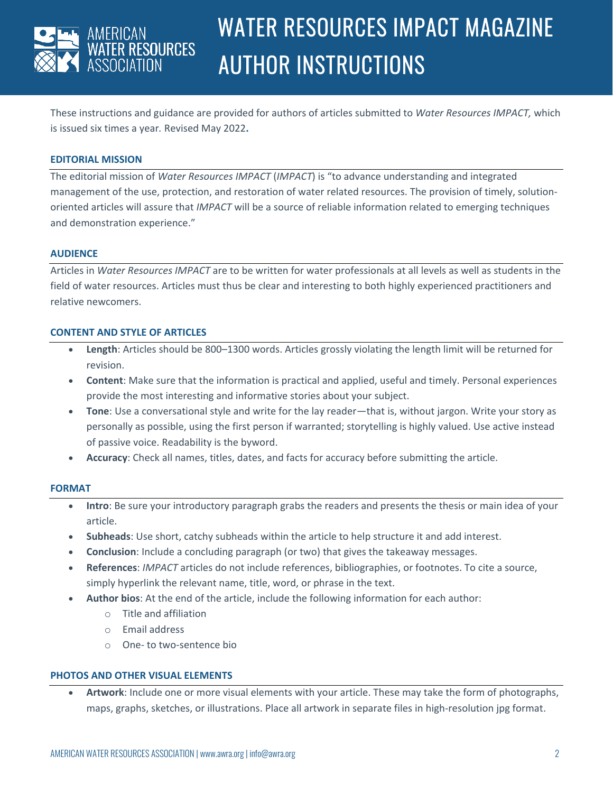

# WATER RESOURCES IMPACT MAGAZINE AUTHOR INSTRUCTIONS

These instructions and guidance are provided for authors of articles submitted to *Water Resources IMPACT,* which is issued six times a year*.* Revised May 2022**.**

### **EDITORIAL MISSION**

The editorial mission of *Water Resources IMPACT* (*IMPACT*) is "to advance understanding and integrated management of the use, protection, and restoration of water related resources. The provision of timely, solutionoriented articles will assure that *IMPACT* will be a source of reliable information related to emerging techniques and demonstration experience."

#### **AUDIENCE**

Articles in *Water Resources IMPACT* are to be written for water professionals at all levels as well as students in the field of water resources. Articles must thus be clear and interesting to both highly experienced practitioners and relative newcomers.

#### **CONTENT AND STYLE OF ARTICLES**

- **Length**: Articles should be 800–1300 words. Articles grossly violating the length limit will be returned for revision.
- **Content**: Make sure that the information is practical and applied, useful and timely. Personal experiences provide the most interesting and informative stories about your subject.
- **Tone**: Use a conversational style and write for the lay reader—that is, without jargon. Write your story as personally as possible, using the first person if warranted; storytelling is highly valued. Use active instead of passive voice. Readability is the byword.
- **Accuracy**: Check all names, titles, dates, and facts for accuracy before submitting the article.

#### **FORMAT**

- **Intro**: Be sure your introductory paragraph grabs the readers and presents the thesis or main idea of your article.
- **Subheads**: Use short, catchy subheads within the article to help structure it and add interest.
- **Conclusion**: Include a concluding paragraph (or two) that gives the takeaway messages.
- **References**: *IMPACT* articles do not include references, bibliographies, or footnotes. To cite a source, simply hyperlink the relevant name, title, word, or phrase in the text.
- **Author bios**: At the end of the article, include the following information for each author:
	- o Title and affiliation
	- o Email address
	- o One- to two-sentence bio

#### **PHOTOS AND OTHER VISUAL ELEMENTS**

• **Artwork**: Include one or more visual elements with your article. These may take the form of photographs, maps, graphs, sketches, or illustrations. Place all artwork in separate files in high-resolution jpg format.